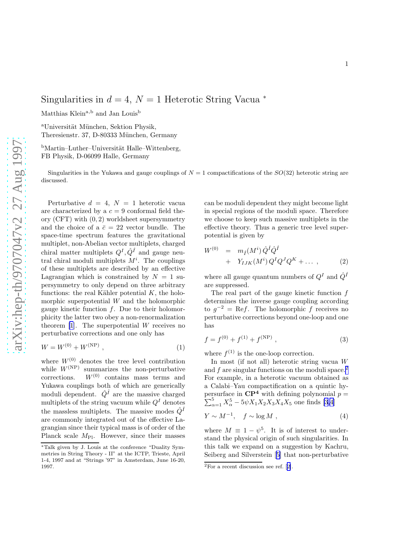## Singularities in  $d = 4$ ,  $N = 1$  Heterotic String Vacua  $*$

Matthias Klein<sup>a,b</sup> and Jan Louis<sup>b</sup>

<sup>a</sup>Universität München, Sektion Physik, Theresienstr. 37, D-80333 München, Germany

 $b$ Martin–Luther–Universität Halle–Wittenberg, FB Physik, D-06099 Halle, Germany

Singularities in the Yukawa and gauge couplings of  $N = 1$  compactifications of the  $SO(32)$  heterotic string are discussed.

Perturbative  $d = 4$ ,  $N = 1$  heterotic vacua are characterized by a  $c = 9$  conformal field theory  $(CFT)$  with  $(0, 2)$  worldsheet supersymmetry and the choice of a  $\bar{c} = 22$  vector bundle. The space-time spectrum features the gravitational multiplet, non-Abelian vector multiplets, charged chiral matter multiplets  $Q^I, \hat{Q}^{\hat{I}}$  and gauge neutral chiral moduli multiplets  $M^i$ . The couplings of these multiplets are described by an effective Lagrangian which is constrained by  $N = 1$  supersymmetry to only depend on three arbitrary functions: the real Kähler potential  $K$ , the holomorphic superpotential  $W$  and the holomorphic gauge kinetic function  $f$ . Due to their holomorphicity the latter two obey a non-renormalization theorem  $[1]$ . The superpotential W receives no perturbative corrections and one only has

$$
W = W^{(0)} + W^{(NP)}, \t\t(1)
$$

where  $W^{(0)}$  denotes the tree level contribution while  $W^{(NP)}$  summarizes the non-perturbative corrections.  $W^{(0)}$  contains mass terms and Yukawa couplings both of which are generically moduli dependent.  $\hat{Q}^{\hat{I}}$  are the massive charged multiplets of the string vacuum while  $Q<sup>I</sup>$  denotes the massless multiplets. The massive modes  $\hat{Q}^{\hat{I}}$ are commonly integrated out of the effective Lagrangian since their typical mass is of order of the Planck scale  $M_{\text{Pl}}$ . However, since their masses can be moduli dependent they might become light in special regions of the moduli space. Therefore we choose to keep such massive multiplets in the effective theory. Thus a generic tree level superpotential is given by

$$
W^{(0)} = m_{\hat{I}}(M^i) \hat{Q}^{\hat{I}} \hat{Q}^{\hat{I}} + Y_{IJK}(M^i) Q^I Q^J Q^K + \dots ,
$$
 (2)

where all gauge quantum numbers of  $Q<sup>I</sup>$  and  $\hat{Q}^{\hat{I}}$ are suppressed.

The real part of the gauge kinetic function f determines the inverse gauge coupling according to  $g^{-2} = \text{Re}f$ . The holomorphic f receives no perturbative corrections beyond one-loop and one has

$$
f = f^{(0)} + f^{(1)} + f^{(NP)},
$$
\n(3)

where  $f^{(1)}$  is the one-loop correction.

In most (if not all) heterotic string vacua W and  $f$  are singular functions on the moduli space.<sup>2</sup> For example, in a heterotic vacuum obtained as a Calabi–Yau compactification on a quintic hypersurface in  $\mathbf{C}\mathbf{P}^4$  $\sum$ rsurface in  $\mathbb{CP}^4$  with defining polynomial  $p = \frac{5}{\alpha - 1} X_{\alpha}^5 - 5\psi X_1 X_2 X_3 X_4 X_5$  one finds [\[3,4](#page-6-0)]

$$
Y \sim M^{-1}, \quad f \sim \log M \tag{4}
$$

where  $M \equiv 1 - \psi^5$ . It is of interest to understand the physical origin of such singularities. In this talk we expand on a suggestion by Kachru, Seiberg and Silverstein[[5\]](#page-6-0) that non-perturbative

<sup>∗</sup>Talk given by J. Louis at the conference "Duality Symmetries in String Theory - II" at the ICTP, Trieste, April 1-4, 1997 and at "Strings '97" in Amsterdam, June 16-20, 1997.

 $\overline{^{2}$ Fora recent discussion see ref. [[2\]](#page-6-0).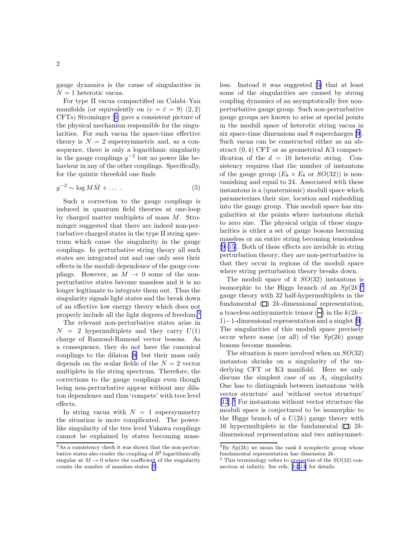gauge dynamics is the cause of singularities in  $N = 1$  heterotic vacua.

For type II vacua compactified on Calabi–Yau manifolds (or equivalently on  $(c = \bar{c} = 9)$   $(2, 2)$ ) CFTs) Strominger[[6\]](#page-6-0) gave a consistent picture of the physical mechanism responsible for the singularities. For such vacua the space-time effective theory is  $N = 2$  supersymmetric and, as a consequence, there is only a logarithmic singularity in the gauge couplings  $g^{-2}$  but no power like behaviour in any of the other couplings. Specifically, for the quintic threefold one finds

$$
g^{-2} \sim \log M \bar{M} + \dots \tag{5}
$$

Such a correction to the gauge couplings is induced in quantum field theories at one-loop by charged matter multiplets of mass M. Strominger suggested that there are indeed non-perturbative charged states in the type II string spectrum which cause the singularity in the gauge couplings. In perturbative string theory all such states are integrated out and one only sees their effects in the moduli dependence of the gauge couplings. However, as  $M \rightarrow 0$  some of the nonperturbative states become massless and it is no longer legitimate to integrate them out. Thus the singularity signals light states and the break down of an effective low energy theory which does not properly include all the light degrees of freedom.<sup>3</sup>

The relevant non-perturbative states arise in  $N = 2$  hypermultiplets and they carry  $U(1)$ charge of Ramond-Ramond vector bosons. As a consequence, they do not have the canonical couplings to the dilaton [\[8](#page-6-0)] but their mass only depends on the scalar fields of the  $N = 2$  vector multiplets in the string spectrum. Therefore, the corrections to the gauge couplings even though being non-perturbative appear without any dilaton dependence and thus 'compete' with tree level effects.

In string vacua with  $N = 1$  supersymmetry the situation is more complicated. The powerlike singularity of the tree level Yukawa couplings cannot be explained by states becoming massless. Instead it was suggested[[5](#page-6-0)] that at least some of the singularities are caused by strong coupling dynamics of an asymptotically free nonperturbative gauge group. Such non-perturbative gauge groups are known to arise at special points in the moduli space of heterotic string vacua in six space-time dimensions and 8 supercharges [\[9](#page-6-0)]. Such vacua can be constructed either as an abstract  $(0, 4)$  CFT or as geometrical K3 compactification of the  $d = 10$  heterotic string. Consistency requires that the number of instantons of the gauge group  $(E_8 \times E_8 \text{ or } SO(32))$  is nonvanishing and equal to 24. Associated with these instantons is a (quaternionic) moduli space which parameterizes their size, location and embedding into the gauge group. This moduli space has singularities at the points where instantons shrink to zero size. The physical origin of these singularities is either a set of gauge bosons becoming massless or an entire string becoming tensionless [\[9–15](#page-6-0)]. Both of these effects are invisible in string perturbation theory; they are non-perturbative in that they occur in regions of the moduli space where string perturbation theory breaks down.

The moduli space of  $k$   $SO(32)$  instantons is isomorphic to the Higgs branch of an  $Sp(2k)^4$ gauge theory with 32 half-hypermultiplets in the fundamental  $(\Box)$  2k-dimensional representation, a traceless antisymmetric tensor  $(\neg)$  in the  $k(2k-$ 1)−1-dimensional representation and a singlet [\[9](#page-6-0)]. The singularities of this moduli space precisely occur where some (or all) of the  $Sp(2k)$  gauge bosons become massless.

The situation is more involved when an  $SO(32)$ instanton shrinks on a singularity of the underlying CFT or K3 manifold. Here we only discuss the simplest case of an  $A_1$  singularity. One has to distinguish between instantons 'with vector structure' and 'without vector structure' [\[12](#page-6-0)].<sup>5</sup> For instantons without vector structure the moduli space is conjectured to be isomorphic to the Higgs branch of a  $U(2k)$  gauge theory with 16 hypermultiplets in the fundamental  $(\Box)$  2kdimensional representation and two antisymmet-

<sup>3</sup>As a consistency check it was shown that the non-perturbative states also render the coupling of  $R^2$  logarithmically singular at  $M \to 0$  where the coefficient of the singularity counts the number of massless states [\[7](#page-6-0)].

 ${}^{4}$ By  $Sp(2k)$  we mean the rank k symplectic group whose fundamental representation has dimension 2k.

 $5$  This terminology refers to properties of the  $SO(32)$  connection at infinity. See refs.[[12,13\]](#page-6-0) for details.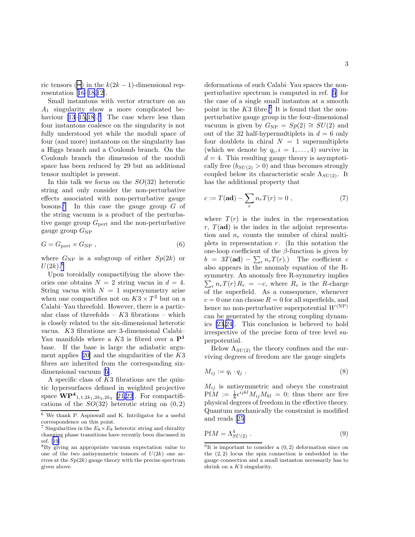ric tensors ( $\Box$ ) in the  $k(2k-1)$ -dimensional representation[[16–](#page-6-0)[18,](#page-7-0)[12\]](#page-6-0).

Small instantons with vector structure on an  $A_1$  singularity show a more complicated behaviour  $[13-15,18]$  $[13-15,18]$  $[13-15,18]$ .<sup>6</sup> The case where less than four instantons coalesce on the singularity is not fully understood yet while the moduli space of four (and more) instantons on the singularity has a Higgs branch and a Coulomb branch. On the Coulomb branch the dimension of the moduli space has been reduced by 29 but an additional tensor multiplet is present.

In this talk we focus on the  $SO(32)$  heterotic string and only consider the non-perturbative effects associated with non-perturbative gauge bosons.<sup>7</sup> In this case the gauge group  $G$  of the string vacuum is a product of the perturbative gauge group  $G_{\text{pert}}$  and the non-perturbative gauge group  $G_{\rm NP}$ 

$$
G = G_{\text{pert}} \times G_{\text{NP}} \tag{6}
$$

where  $G_{\rm NP}$  is a subgroup of either  $Sp(2k)$  or  $U(2k)$ <sup>8</sup>

Upon toroidally compactifying the above theories one obtains  $N = 2$  string vacua in  $d = 4$ . String vacua with  $N = 1$  supersymmetry arise when one compactifies not on  $K3 \times T^2$  but on a Calabi–Yau threefold. However, there is a particular class of threefolds –  $K3$  fibrations – which is closely related to the six-dimensional heterotic vacua. K3 fibrations are 3-dimensional Calabi– Yau manifolds where a  $K3$  is fibred over a  $\mathbf{P}^1$ base. If the base is large the adiabatic argument applies  $[20]$  and the singularities of the K3 fibres are inherited from the corresponding sixdimensional vacuum [\[5](#page-6-0)].

A specific class of K3 fibrations are the quintic hypersurfaces defined in weighted projective space  $\overline{\mathbf{WP^4}_{1,1,2k_1,2k_2,2k_3}}$  [\[21](#page-7-0),[22\]](#page-7-0). For compactifications of the  $SO(32)$  heterotic string on  $(0, 2)$  deformations of such Calabi–Yau spaces the nonperturbative spectrum is computed in ref. [\[5](#page-6-0)] for the case of a single small instanton at a smooth point in the  $K3$  fibre.<sup>9</sup> It is found that the nonperturbative gauge group in the four-dimensional vacuum is given by  $G_{\rm NP} = Sp(2) \cong SU(2)$  and out of the 32 half-hypermultiplets in  $d = 6$  only four doublets in chiral  $N = 1$  supermultiplets (which we denote by  $q_i, i = 1, \ldots, 4$ ) survive in  $d = 4$ . This resulting gauge theory is asymptotically free  $(b_{SU(2)} > 0)$  and thus becomes strongly coupled below its characteristic scale  $\Lambda_{SU(2)}$ . It has the additional property that

$$
c := T(\mathbf{ad}) - \sum_{r} n_r T(r) = 0 , \qquad (7)
$$

where  $T(r)$  is the index in the representation  $r, T(\text{ad})$  is the index in the adjoint representation and  $n_r$  counts the number of chiral multiplets in representation  $r$ . (In this notation the one-loop coefficient of the  $\beta$ -function is given by  $b = 3T(\mathbf{ad}) - \sum_r n_r T(r)$ .) The coefficient c also appears in the anomaly equation of the Rsymmetry. An anomaly free R-symmetry implies  $\sum_{r} n_r T(r) R_r = -c$ , where  $R_r$  is the R-charge of the superfield. As a consequence, whenever  $c = 0$  one can choose  $R = 0$  for all superfields, and hence no non-perturbative superpotential  $W^{(NP)}$ can be generated by the strong coupling dynamics [\[23](#page-7-0),[24](#page-7-0)]. This conclusion is believed to hold irrespective of the precise form of tree level superpotential.

Below  $\Lambda_{SU(2)}$  the theory confines and the surviving degrees of freedom are the gauge singlets

$$
M_{ij} := q_i \cdot q_j \tag{8}
$$

 $M_{ij}$  is antisymmetric and obeys the constraint  $PfM := \frac{1}{8} \epsilon^{ijkl} M_{ij}M_{kl} = 0$ ; thus there are five physical degrees of freedom in the effective theory. Quantum mechanically the constraint is modified and reads[[25\]](#page-7-0)

$$
PfM = \Lambda_{SU(2)}^4 \ . \tag{9}
$$

 $\overline{6}$  We thank P. Aspinwall and K. Intriligator for a useful correspondence on this point.

<sup>&</sup>lt;sup>7</sup> Singularities in the  $E_8 \times E_8$  heterotic string and chirality changing phase transitions have recently been discussed in ref.[[19](#page-7-0)].

<sup>8</sup>By giving an appropriate vacuum expectation value to one of the two antisymmetric tensors of  $U(2k)$  one arrives at the  $Sp(2k)$  gauge theory with the precise spectrum given above.

<sup>&</sup>lt;sup>9</sup>It is important to consider a  $(0, 2)$  deformation since on the  $(2, 2)$  locus the spin connection is embedded in the gauge connection and a small instanton necessarily has to shrink on a  $K3$  singularity.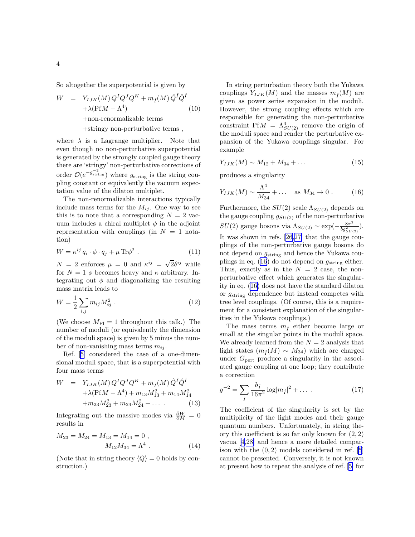<span id="page-3-0"></span>So altogether the superpotential is given by

$$
W = Y_{IJK}(M) Q^{I} Q^{J} Q^{K} + m_{\hat{I}}(M) \hat{Q}^{\hat{I}} \hat{Q}^{\hat{I}} + \lambda (\text{Pf}M - \Lambda^{4})
$$
\n
$$
+ \text{non-renormalizable terms}
$$
\n
$$
+ \text{stringy non-perturbative terms} ,
$$

where  $\lambda$  is a Lagrange multiplier. Note that even though no non-perturbative superpotential is generated by the strongly coupled gauge theory there are 'stringy' non-perturbative corrections of order  $\mathcal{O}(e^{-g_{\text{string}}^{-2}})$  where  $g_{\text{string}}$  is the string coupling constant or equivalently the vacuum expectation value of the dilaton multiplet.

The non-renormalizable interactions typically include mass terms for the  $M_{ij}$ . One way to see this is to note that a corresponding  $N = 2$  vacuum includes a chiral multiplet  $\phi$  in the adjoint representation with couplings (in  $N = 1$  notation)

$$
W = \kappa^{ij} q_i \cdot \phi \cdot q_j + \mu \operatorname{Tr} \phi^2 \ . \tag{11}
$$

 $N = 2$  enforces  $\mu = 0$  and  $\kappa^{ij} = \sqrt{2} \delta^{ij}$  while for  $N = 1$   $\phi$  becomes heavy and  $\kappa$  arbitrary. Integrating out  $\phi$  and diagonalizing the resulting mass matrix leads to

$$
W = \frac{1}{2} \sum_{i,j} m_{ij} M_{ij}^2 \tag{12}
$$

(We choose  $M_{\rm Pl} = 1$  throughout this talk.) The number of moduli (or equivalently the dimension of the moduli space) is given by 5 minus the number of non-vanishing mass terms  $m_{ij}$ .

Ref.[[5\]](#page-6-0) considered the case of a one-dimensional moduli space, that is a superpotential with four mass terms

$$
W = Y_{IJK}(M) Q^{I} Q^{J} Q^{K} + m_{\hat{I}}(M) \hat{Q}^{\hat{I}} \hat{Q}^{\hat{I}} + \lambda (PfM - \Lambda^{4}) + m_{13} M_{13}^{2} + m_{14} M_{14}^{2} + m_{23} M_{23}^{2} + m_{24} M_{24}^{2} + \dots
$$
 (13)

Integrating out the massive modes via  $\frac{\partial W}{\partial M} = 0$ results in

$$
M_{23} = M_{24} = M_{13} = M_{14} = 0,
$$
  

$$
M_{12}M_{34} = \Lambda^4.
$$
 (14)

(Note that in string theory  $\langle Q \rangle = 0$  holds by construction.)

In string perturbation theory both the Yukawa couplings  $Y_{IJK}(M)$  and the masses  $m_i(M)$  are given as power series expansion in the moduli. However, the strong coupling effects which are responsible for generating the non-perturbative constraint Pf $M = \Lambda_{SU(2)}^4$  remove the origin of the moduli space and render the perturbative expansion of the Yukawa couplings singular. For example

$$
Y_{IJK}(M) \sim M_{12} + M_{34} + \dots \tag{15}
$$

produces a singularity

$$
Y_{IJK}(M) \sim \frac{\Lambda^4}{M_{34}} + \dots \quad \text{as } M_{34} \to 0 \ . \tag{16}
$$

Furthermore, the  $SU(2)$  scale  $\Lambda_{SU(2)}$  depends on the gauge coupling  $g_{SU(2)}$  of the non-perturbative  $SU(2)$  gauge bosons via  $\Lambda_{SU(2)} \sim \exp(-\frac{8\pi^2}{bg_{SIII}^2})$  $rac{8\pi^2}{bg_{SU(2)}^2}$ ). It was shown in refs.[[26,27\]](#page-7-0) that the gauge couplings of the non-perturbative gauge bosons do not depend on  $g_{\text{string}}$  and hence the Yukawa couplings in eq. (16) do not depend on  $g_{\text{string}}$  either. Thus, exactly as in the  $N = 2$  case, the nonperturbative effect which generates the singularity in eq. (16) does not have the standard dilaton or  $g_{\text{string}}$  dependence but instead competes with tree level couplings. (Of course, this is a requirement for a consistent explanation of the singularities in the Yukawa couplings.)

The mass terms  $m_{\hat{I}}$  either become large or small at the singular points in the moduli space. We already learned from the  $N = 2$  analysis that light states  $(m_i(M) \sim M_{34})$  which are charged under  $G<sub>pert</sub>$  produce a singularity in the associated gauge coupling at one loop; they contribute a correction

$$
g^{-2} = \sum_{\hat{I}} \frac{b_{\hat{I}}}{16\pi^2} \log|m_{\hat{I}}|^2 + \dots \tag{17}
$$

The coefficient of the singularity is set by the multiplicity of the light modes and their gauge quantum numbers. Unfortunately, in string theory this coefficient is so far only known for  $(2, 2)$ vacua[[4](#page-6-0)[,28\]](#page-7-0) and hence a more detailed comparison with the  $(0, 2)$  models considered in ref. [\[5](#page-6-0)] cannot be presented. Conversely, it is not known at present how to repeat the analysis of ref.[[5\]](#page-6-0) for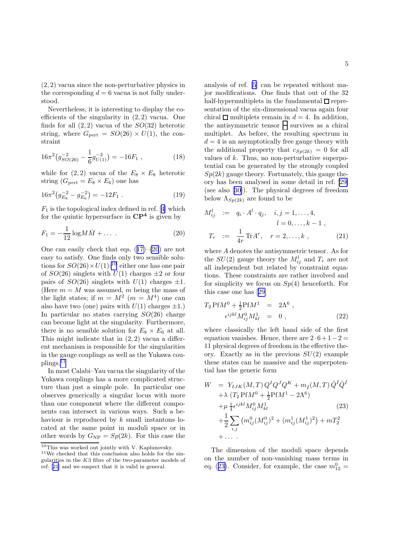(2, 2) vacua since the non-perturbative physics in the corresponding  $d = 6$  vacua is not fully understood.

Nevertheless, it is interesting to display the coefficients of the singularity in (2, 2) vacua. One finds for all  $(2, 2)$  vacua of the  $SO(32)$  heterotic string, where  $G_{\text{pert}} = SO(26) \times U(1)$ , the constraint

$$
16\pi^2 \left( g_{SO(26)}^{-2} - \frac{1}{6} g_{U(1)}^{-2} \right) = -16F_1 , \qquad (18)
$$

while for  $(2, 2)$  vacua of the  $E_8 \times E_8$  heterotic string  $(G_{\text{pert}} = E_8 \times E_6)$  one has

$$
16\pi^2 \left( g_{E_8}^{-2} - g_{E_6}^{-2} \right) = -12F_1 . \tag{19}
$$

 $F_1$ is the topological index defined in ref. [[4\]](#page-6-0) which for the quintic hypersurface in  $\mathbb{C}P^4$  is given by

$$
F_1 = -\frac{1}{12} \log M \bar{M} + \dots \tag{20}
$$

Onecan easily check that eqs.  $(17)-(20)$  $(17)-(20)$  $(17)-(20)$  are not easy to satisfy. One finds only two sensible solutions for  $SO(26) \times U(1)$ :<sup>10</sup> either one has one pair of  $SO(26)$  singlets with  $U(1)$  charges  $\pm 2$  or four pairs of  $SO(26)$  singlets with  $U(1)$  charges  $\pm 1$ . (Here  $m = M$  was assumed, m being the mass of the light states; if  $m = M^2$   $(m = M^4)$  one can also have two (one) pairs with  $U(1)$  charges  $\pm 1$ .) In particular no states carrying  $SO(26)$  charge can become light at the singularity. Furthermore, there is no sensible solution for  $E_8 \times E_6$  at all. This might indicate that in  $(2, 2)$  vacua a different mechanism is responsible for the singularities in the gauge couplings as well as the Yukawa couplings.<sup>11</sup>

In most Calabi–Yau vacua the singularity of the Yukawa couplings has a more complicated structure than just a simple pole. In particular one observes generically a singular locus with more than one component where the different components can intersect in various ways. Such a behaviour is reproduced by  $k$  small instantons located at the same point in moduli space or in other words by  $G_{\rm NP} = Sp(2k)$ . For this case the

analysis of ref.[[5\]](#page-6-0) can be repeated without major modifications. One finds that out of the 32 half-hypermultiplets in the fundamental  $\square$  representation of the six-dimensional vacua again four chiral  $\Box$  multiplets remain in  $d = 4$ . In addition, the antisymmetric tensor  $\Box$  survives as a chiral multiplet. As before, the resulting spectrum in  $d = 4$  is an asymptotically free gauge theory with the additional property that  $c_{Sp(2k)} = 0$  for all values of  $k$ . Thus, no non-perturbative superpotential can be generated by the strongly coupled  $Sp(2k)$  gauge theory. Fortunately, this gauge theory has been analysed in some detail in ref. [\[29\]](#page-7-0) (see also[[30\]](#page-7-0)). The physical degrees of freedom below  $\Lambda_{Sp(2k)}$  are found to be

$$
M_{ij}^{l} := q_i \cdot A^l \cdot q_j, \quad i, j = 1, ..., 4, \n l = 0, ..., k - 1 , \n T_r := \frac{1}{4r} \text{Tr} A^r, \quad r = 2, ..., k ,
$$
\n(21)

where A denotes the antisymmetric tensor. As for the  $SU(2)$  gauge theory the  $M_{ij}^l$  and  $T_r$  are not all independent but related by constraint equations. These constraints are rather involved and for simplicity we focus on  $Sp(4)$  henceforth. For this case one has[[29\]](#page-7-0)

$$
T_2 \text{Pf}M^0 + \frac{1}{2} \text{Pf}M^1 = 2\Lambda^6 ,
$$
  
\n
$$
\epsilon^{ijkl} M_{ij}^0 M_{kl}^1 = 0 ,
$$
\n(22)

where classically the left hand side of the first equation vanishes. Hence, there are  $2 \cdot 6 + 1 - 2 =$ 11 physical degrees of freedom in the effective theory. Exactly as in the previous  $SU(2)$  example these states can be massive and the superpotential has the generic form

$$
W = Y_{IJK}(M,T) Q^{I} Q^{J} Q^{K} + m_{\hat{I}}(M,T) \hat{Q}^{\hat{I}} \hat{Q}^{\hat{I}} + \lambda (T_2 \text{Pf} M^{0} + \frac{1}{2} \text{Pf} M^{1} - 2\Lambda^{6}) + \mu \frac{1}{4} \epsilon^{ijkl} M_{ij}^{0} M_{kl}^{1}
$$
(23)  
+  $\frac{1}{2} \sum_{i,j} (m_{ij}^{0} (M_{ij}^{0})^{2} + (m_{ij}^{1} (M_{ij}^{1})^{2}) + mT_{2}^{2} + \dots$ 

The dimension of the moduli space depends on the number of non-vanishing mass terms in eq. (23). Consider, for example, the case  $m_{12}^0 =$ 

 $10$ This was worked out jointly with V. Kaplunovsky.

 $^{11}\mathrm{We}$  checked that this conclusion also holds for the singularities in the K3 fibre of the two-parameter models of ref.[[21](#page-7-0)] and we suspect that it is valid in general.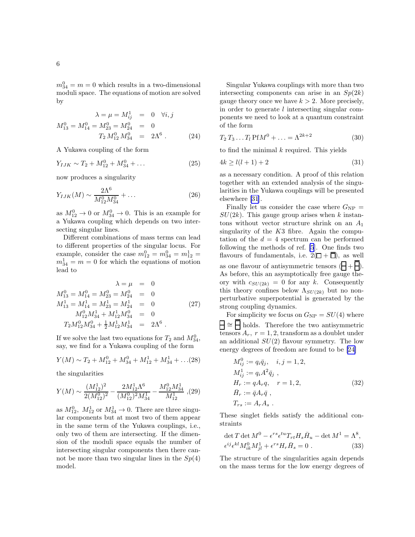$m_{34}^0 = m = 0$  which results in a two-dimensional moduli space. The equations of motion are solved by

$$
\lambda = \mu = M_{ij}^{1} = 0 \quad \forall i, j
$$
  

$$
M_{13}^{0} = M_{14}^{0} = M_{23}^{0} = M_{24}^{0} = 0
$$
  

$$
T_2 M_{12}^{0} M_{34}^{0} = 2\Lambda^{6}.
$$
 (24)

A Yukawa coupling of the form

$$
Y_{IJK} \sim T_2 + M_{12}^0 + M_{34}^0 + \dots \tag{25}
$$

now produces a singularity

$$
Y_{IJK}(M) \sim \frac{2\Lambda^6}{M_{12}^0 M_{34}^0} + \dots \tag{26}
$$

as  $M_{12}^0 \rightarrow 0$  or  $M_{34}^0 \rightarrow 0$ . This is an example for a Yukawa coupling which depends on two intersecting singular lines.

Different combinations of mass terms can lead to different properties of the singular locus. For example, consider the case  $m_{12}^0 = m_{34}^0 = m_{12}^1 =$  $m_{34}^1 = m = 0$  for which the equations of motion lead to

$$
\lambda = \mu = 0
$$
  
\n
$$
M_{13}^0 = M_{14}^0 = M_{23}^0 = M_{24}^0 = 0
$$
  
\n
$$
M_{13}^1 = M_{14}^1 = M_{23}^1 = M_{24}^1 = 0
$$
  
\n
$$
M_{12}^0 M_{34}^1 + M_{12}^1 M_{34}^0 = 0
$$
  
\n
$$
T_2 M_{12}^0 M_{34}^0 + \frac{1}{2} M_{12}^1 M_{34}^1 = 2\Lambda^6.
$$
\n(27)

If we solve the last two equations for  $T_2$  and  $M_{34}^0$ , say, we find for a Yukawa coupling of the form

$$
Y(M) \sim T_2 + M_{12}^0 + M_{34}^0 + M_{12}^1 + M_{34}^1 + \dots (28)
$$

the singularities

$$
Y(M) \sim \frac{(M_{12}^1)^2}{2(M_{12}^0)^2} - \frac{2M_{12}^1 \Lambda^6}{(M_{12}^0)^2 M_{34}^1} - \frac{M_{12}^0 M_{34}^1}{M_{12}^1} , (29)
$$

as  $M_{12}^0$ ,  $M_{12}^1$  or  $M_{34}^1 \rightarrow 0$ . There are three singular components but at most two of them appear in the same term of the Yukawa couplings, i.e., only two of them are intersecting. If the dimension of the moduli space equals the number of intersecting singular components then there cannot be more than two singular lines in the  $Sp(4)$ model.

Singular Yukawa couplings with more than two intersecting components can arise in an  $Sp(2k)$ gauge theory once we have  $k > 2$ . More precisely, in order to generate l intersecting singular components we need to look at a quantum constraint of the form

$$
T_2 T_3 \dots T_l \operatorname{Pf} M^0 + \dots = \Lambda^{2k+2} \tag{30}
$$

to find the minimal  $k$  required. This yields

$$
4k \ge l(l+1) + 2\tag{31}
$$

as a necessary condition. A proof of this relation together with an extended analysis of the singularities in the Yukawa couplings will be presented elsewhere [\[31](#page-7-0)].

Finally let us consider the case where  $G_{\rm NP} =$  $SU(2k)$ . This gauge group arises when k instantons without vector structure shrink on an  $A_1$ singularity of the  $K3$  fibre. Again the computation of the  $d = 4$  spectrum can be performed following the methods of ref. [\[5](#page-6-0)]. One finds two flavours of fundamentals, i.e.  $2(\Box + \overline{\Box})$ , as well as one flavour of antisymmetric tensors  $(\Box + \Box)$ . As before, this an asymptotically free gauge theory with  $c_{SU(2k)} = 0$  for any k. Consequently this theory confines below  $\Lambda_{SU(2k)}$  but no nonperturbative superpotential is generated by the strong coupling dynamics.

For simplicity we focus on  $G_{\rm NP} = SU(4)$  where ∼= holds. Therefore the two antisymmetric tensors  $A_r$ ,  $r = 1, 2$ , transform as a doublet under an additional  $SU(2)$  flavour symmetry. The low energy degrees of freedom are found to be [\[24\]](#page-7-0)

$$
M_{ij}^{0} := q_i \bar{q}_j, \quad i, j = 1, 2,
$$
  
\n
$$
M_{ij}^{1} := q_i A^2 \bar{q}_j ,
$$
  
\n
$$
H_r := q A_r q, \quad r = 1, 2,
$$
  
\n
$$
\bar{H}_r := \bar{q} A_r \bar{q} ,
$$
  
\n
$$
T_{rs} := A_r A_s .
$$
\n(32)

These singlet fields satisfy the additional constraints

$$
\det T \det M^0 - \epsilon^{rs} \epsilon^{tu} T_{rt} H_s \bar{H}_u - \det M^1 = \Lambda^8,
$$
  

$$
\epsilon^{ij} \epsilon^{kl} M_{ik}^0 M_{jl}^1 + \epsilon^{rs} H_r \bar{H}_s = 0.
$$
 (33)

The structure of the singularities again depends on the mass terms for the low energy degrees of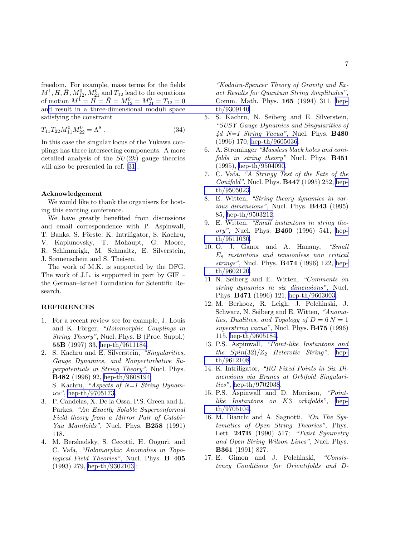<span id="page-6-0"></span>freedom. For example, mass terms for the fields  $M^1, H, \bar{H}, M_{12}^0, M_{21}^0$  and  $T_{12}$  lead to the equations of motion  $M^{\tilde{1}} = \tilde{H} = \tilde{H} = M_{12}^{0} = M_{21}^{0} = T_{12} = 0$ an[d result in a three-dimensional moduli space](http://arxiv.org/abs/hep-th/9309140) satisfying the constraint

$$
T_{11}T_{22}M_{11}^0M_{22}^0 = \Lambda^8 \ . \tag{34}
$$

In this case the singular locus of the Yukawa couplings has three intersecting components. A more detailed analysis of the  $SU(2k)$  gauge theories will also be presented in ref. [\[31\]](#page-7-0).

## Acknowledgement

We would like to thank the organisers for hosting this exciting conference.

We have greatly benefited from discussions and email correspondence with P. Aspinwall, T. Banks, S. Förste, K. Intriligator, S. Kachru, V. Kaplunovsky, T. Mohaupt, G. Moore, R. Schimmrigk, M. Schmaltz, E. Silverstein, J. Sonnenschein and S. Theisen.

The work of M.K. is supported by the DFG. The work of J.L. is supported in part by GIF – the German–Israeli Foundation for Scientific Research.

## REFERENCES

- 1. For a recent review see for example, J. Louis and K. Förger, "Holomorphic Couplings in String Theory", Nucl. Phys. B (Proc. Suppl.) 55B (1997) 33, [hep-th/9611184.](http://arxiv.org/abs/hep-th/9611184)
- 2. S. Kachru and E. Silverstein, "Singularities, Gauge Dynamics, and Nonperturbative Superpotentials in String Theory", Nucl. Phys. B482 (1996) 92, [hep-th/9608194;](http://arxiv.org/abs/hep-th/9608194) S. Kachru, "Aspects of  $N=1$  String Dynam $ics$ ", [hep-th/9705173.](http://arxiv.org/abs/hep-th/9705173)
- 3. P. Candelas, X. De la Ossa, P.S. Green and L. Parkes, "An Exactly Soluble Superconformal Field theory from a Mirror Pair of Calabi– Yau Manifolds", Nucl. Phys. **B258** (1991) 118.
- 4. M. Bershadsky, S. Cecotti, H. Ooguri, and C. Vafa, "Holomorphic Anomalies in Topological Field Theories", Nucl. Phys. B 405 (1993) 279, [hep-th/9302103](http://arxiv.org/abs/hep-th/9302103) ;

"Kodaira-Spencer Theory of Gravity and Exact Results for Quantum String Amplitudes", Comm. Math. Phys. 165 (1994) 311, [hep](http://arxiv.org/abs/hep-th/9309140)th/9309140.

- 5. S. Kachru, N. Seiberg and E. Silverstein, "SUSY Gauge Dynamics and Singularities of  $4d$  N=1 String Vacua", Nucl. Phys. B480 (1996) 170, [hep-th/9605036.](http://arxiv.org/abs/hep-th/9605036)
- 6. A. Strominger "Massless black holes and conifolds in string theory" Nucl. Phys. **B451** (1995), [hep-th/9504090](http://arxiv.org/abs/hep-th/9504090).
- 7. C. Vafa, "A Stringy Test of the Fate of the Conifold", Nucl. Phys. **B447** (1995) 252, [hep](http://arxiv.org/abs/hep-th/9505023)[th/9505023.](http://arxiv.org/abs/hep-th/9505023)
- 8. E. Witten, "String theory dynamics in various dimensions", Nucl. Phys. **B443** (1995) 85, [hep-th/9503212.](http://arxiv.org/abs/hep-th/9503212)
- 9. E. Witten, "Small instantons in string theory", Nucl. Phys. B460 (1996) 541, [hep](http://arxiv.org/abs/hep-th/9511030)[th/9511030.](http://arxiv.org/abs/hep-th/9511030)
- 10. O. J. Ganor and A. Hanany, "Small  $E_8$  instantons and tensionless non critical strings", Nucl. Phys. B474 (1996) 122, [hep](http://arxiv.org/abs/hep-th/9602120)[th/9602120.](http://arxiv.org/abs/hep-th/9602120)
- 11. N. Seiberg and E. Witten, "Comments on string dynamics in six dimensions", Nucl. Phys. B471 (1996) 121, [hep-th/9603003.](http://arxiv.org/abs/hep-th/9603003)
- 12. M. Berkooz, R. Leigh, J. Polchinski, J. Schwarz, N. Seiberg and E. Witten, "Anomalies, Dualities, and Topology of  $D = 6N = 1$ superstring vacua", Nucl. Phys. **B475** (1996) 115, [hep-th/9605184.](http://arxiv.org/abs/hep-th/9605184)
- 13. P.S. Aspinwall, "Point-like Instantons and the  $Spin(32)/Z_2$  Heterotic String", [hep](http://arxiv.org/abs/hep-th/9612108)[th/9612108.](http://arxiv.org/abs/hep-th/9612108)
- 14. K. Intriligator, "RG Fixed Points in Six Dimensions via Branes at Orbifold Singularities", [hep-th/9702038](http://arxiv.org/abs/hep-th/9702038).
- 15. P.S. Aspinwall and D. Morrison, "Pointlike Instantons on K3 orbifolds", [hep](http://arxiv.org/abs/hep-th/9705104)[th/9705104.](http://arxiv.org/abs/hep-th/9705104)
- 16. M. Bianchi and A. Sagnotti, "On The Systematics of Open String Theories", Phys. Lett. 247B (1990) 517; "Twist Symmetry and Open String Wilson Lines", Nucl. Phys. B361 (1991) 827.
- 17. E. Gimon and J. Polchinski, "Consistency Conditions for Orientifolds and D-